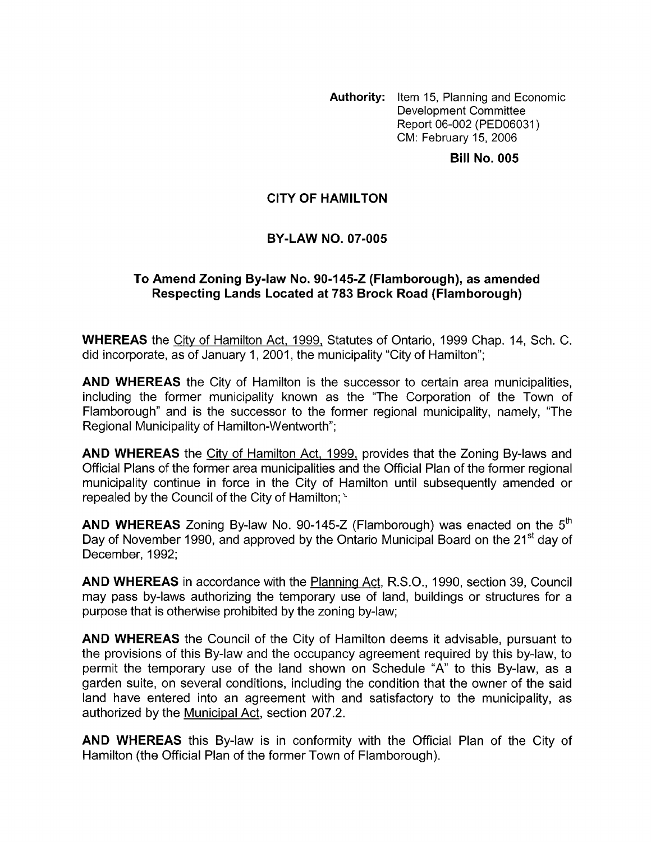**Authority:** Item 15, Planning and Economic Development Committee Report 06-002 (PED06031) CM: February 15, 2006

**Bill No. 005** 

### **CITY OF HAMILTON**

### **BY-LAW NO. 07-005**

### **To Amend Zoning Bylaw No. 90-145-2 (Flamborough), as amended Respecting Lands Located at 783 Brock Road (Flamborough)**

**WHEREAS** the Citv of Hamilton Act, 1999, Statutes of Ontario, 1999 Chap. 14, Sch. C. did incorporate, as of January 1, 2001, the municipality "City of Hamilton";

**AND WHEREAS** the City of Hamilton is the successor to certain area municipalities, including the former municipality known as the "The Corporation of the Town of Flamborough" and is the successor to the former regional municipality, namely, "The Regional Municipality of Hamilton-Wentworth";

**AND WHEREAS** the Citv of Hamilton Act, 1999, provides that the Zoning By-laws and Official Plans of the former area municipalities and the Official Plan of the former regional municipality continue in force in the City of Hamilton until subsequently amended or repealed by the Council of the City of Hamilton;  $\leq$ 

**AND WHEREAS** Zoning By-law No. 90-145-2 (Flamborough) was enacted on the *5\**  Day of November 1990, and approved by the Ontario Municipal Board on the 21<sup>st</sup> day of December, 1992;

**AND WHEREAS** in accordance with the Planning Act, R.S.O., 1990, section 39, Council may pass by-laws authorizing the temporary use of land, buildings or structures for a purpose that is otherwise prohibited by the zoning by-law;

**AND WHEREAS** the Council of the City of Hamilton deems it advisable, pursuant to the provisions of this By-law and the occupancy agreement required by this by-law, to permit the temporary use of the land shown on Schedule "A" to this By-law, as a garden suite, on several conditions, including the condition that the owner of the said land have entered into an agreement with and satisfactory to the municipality, as authorized by the Municipal Act, section 207.2.

**AND WHEREAS** this By-law is in conformity with the Official Plan of the City of Hamilton (the Official Plan of the former Town of Flamborough).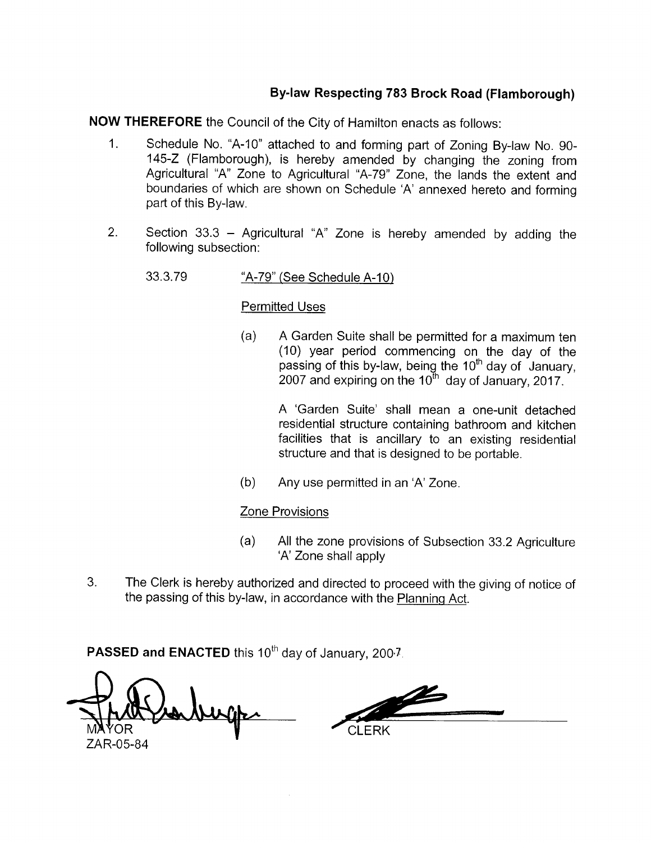# By-law Respecting 783 Brock Road (Flamborough)

**NOW THEREFORE** the Council of the City of Hamilton enacts as follows:

- $1<sub>1</sub>$ Schedule No. "A-10" attached to and forming part of Zoning By-law No. 90-145-Z (Flamborough), is hereby amended by changing the zoning from Agricultural "A" Zone to Agricultural "A-79" Zone, the lands the extent and boundaries of which are shown on Schedule 'A' annexed hereto and forming part of this By-law.
- $2.$ Section 33.3 - Agricultural "A" Zone is hereby amended by adding the following subsection:
	- 33.3.79 "A-79" (See Schedule A-10)

### **Permitted Uses**

 $(a)$ A Garden Suite shall be permitted for a maximum ten (10) year period commencing on the day of the passing of this by-law, being the  $10^{\text{th}}$  day of January, 2007 and expiring on the  $10^{\text{th}}$  day of January, 2017.

> A 'Garden Suite' shall mean a one-unit detached residential structure containing bathroom and kitchen facilities that is ancillary to an existing residential structure and that is designed to be portable.

 $(b)$ Any use permitted in an 'A' Zone.

## **Zone Provisions**

- $(a)$ All the zone provisions of Subsection 33.2 Agriculture 'A' Zone shall apply
- 3. The Clerk is hereby authorized and directed to proceed with the giving of notice of the passing of this by-law, in accordance with the Planning Act.

PASSED and ENACTED this 10<sup>th</sup> day of January, 2007.

<u>al</u> CI FRK ZAR-05-84